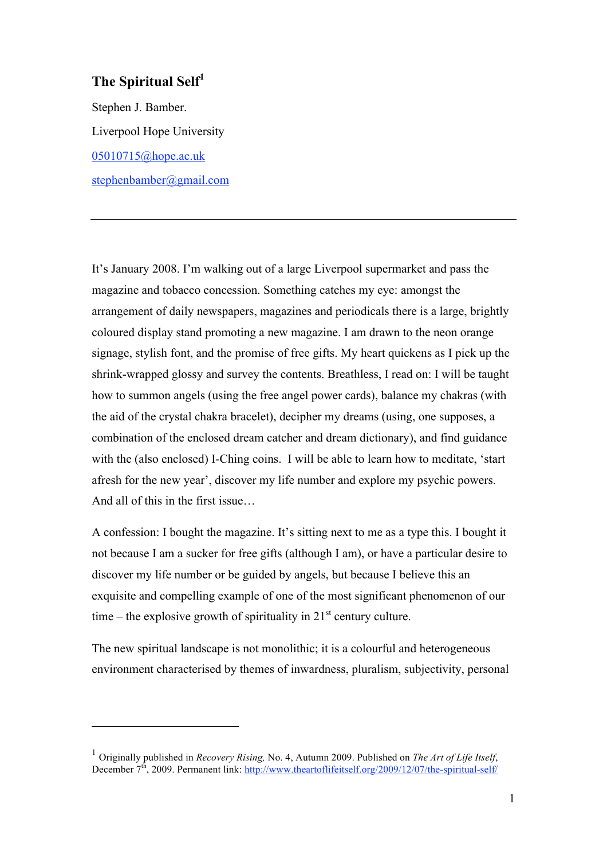## **The Spiritual Self<sup>1</sup>**

 $\overline{a}$ 

Stephen J. Bamber. Liverpool Hope University 05010715@hope.ac.uk stephenbamber@gmail.com

It's January 2008. I'm walking out of a large Liverpool supermarket and pass the magazine and tobacco concession. Something catches my eye: amongst the arrangement of daily newspapers, magazines and periodicals there is a large, brightly coloured display stand promoting a new magazine. I am drawn to the neon orange signage, stylish font, and the promise of free gifts. My heart quickens as I pick up the shrink-wrapped glossy and survey the contents. Breathless, I read on: I will be taught how to summon angels (using the free angel power cards), balance my chakras (with the aid of the crystal chakra bracelet), decipher my dreams (using, one supposes, a combination of the enclosed dream catcher and dream dictionary), and find guidance with the (also enclosed) I-Ching coins. I will be able to learn how to meditate, 'start afresh for the new year', discover my life number and explore my psychic powers. And all of this in the first issue…

A confession: I bought the magazine. It's sitting next to me as a type this. I bought it not because I am a sucker for free gifts (although I am), or have a particular desire to discover my life number or be guided by angels, but because I believe this an exquisite and compelling example of one of the most significant phenomenon of our time – the explosive growth of spirituality in  $21<sup>st</sup>$  century culture.

The new spiritual landscape is not monolithic; it is a colourful and heterogeneous environment characterised by themes of inwardness, pluralism, subjectivity, personal

<sup>1</sup> Originally published in *Recovery Rising,* No. 4, Autumn 2009. Published on *The Art of Life Itself*, December  $7<sup>th</sup>$ , 2009. Permanent link: http://www.theartoflifeitself.org/2009/12/07/the-spiritual-self/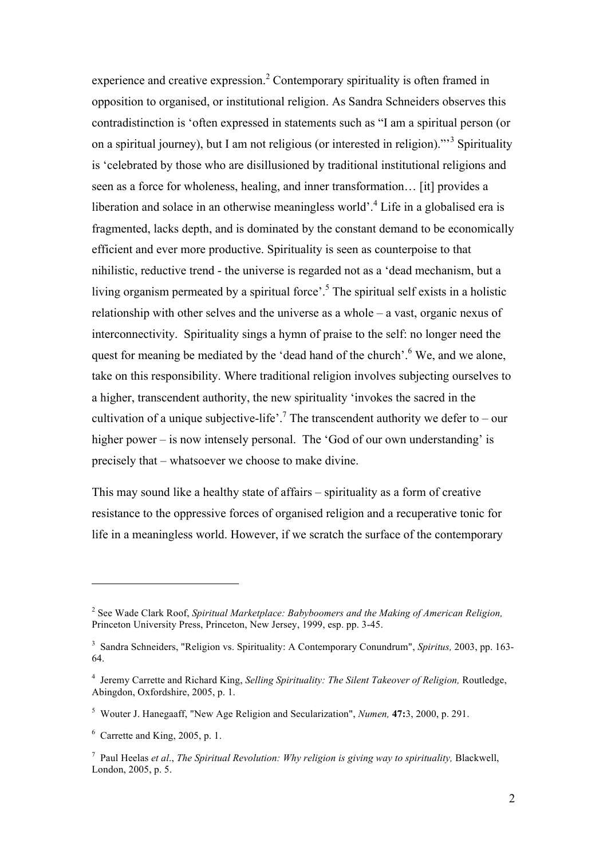experience and creative expression.<sup>2</sup> Contemporary spirituality is often framed in opposition to organised, or institutional religion. As Sandra Schneiders observes this contradistinction is 'often expressed in statements such as "I am a spiritual person (or on a spiritual journey), but I am not religious (or interested in religion)."<sup>3</sup> Spirituality is 'celebrated by those who are disillusioned by traditional institutional religions and seen as a force for wholeness, healing, and inner transformation… [it] provides a liberation and solace in an otherwise meaningless world'.<sup>4</sup> Life in a globalised era is fragmented, lacks depth, and is dominated by the constant demand to be economically efficient and ever more productive. Spirituality is seen as counterpoise to that nihilistic, reductive trend - the universe is regarded not as a 'dead mechanism, but a living organism permeated by a spiritual force'.<sup>5</sup> The spiritual self exists in a holistic relationship with other selves and the universe as a whole – a vast, organic nexus of interconnectivity. Spirituality sings a hymn of praise to the self: no longer need the quest for meaning be mediated by the 'dead hand of the church'.<sup>6</sup> We, and we alone, take on this responsibility. Where traditional religion involves subjecting ourselves to a higher, transcendent authority, the new spirituality 'invokes the sacred in the cultivation of a unique subjective-life'.<sup>7</sup> The transcendent authority we defer to – our higher power – is now intensely personal. The 'God of our own understanding' is precisely that – whatsoever we choose to make divine.

This may sound like a healthy state of affairs – spirituality as a form of creative resistance to the oppressive forces of organised religion and a recuperative tonic for life in a meaningless world. However, if we scratch the surface of the contemporary

<sup>&</sup>lt;sup>2</sup> See Wade Clark Roof, *Spiritual Marketplace: Babyboomers and the Making of American Religion,* Princeton University Press, Princeton, New Jersey, 1999, esp. pp. 3-45.

<sup>3</sup> Sandra Schneiders, "Religion vs. Spirituality: A Contemporary Conundrum", *Spiritus,* 2003, pp. 163- 64.

<sup>&</sup>lt;sup>4</sup> Jeremy Carrette and Richard King, *Selling Spirituality: The Silent Takeover of Religion*, Routledge, Abingdon, Oxfordshire, 2005, p. 1.

<sup>5</sup> Wouter J. Hanegaaff, "New Age Religion and Secularization", *Numen,* **47:**3, 2000, p. 291.

 $6$  Carrette and King, 2005, p. 1.

<sup>7</sup> Paul Heelas *et al*., *The Spiritual Revolution: Why religion is giving way to spirituality,* Blackwell, London, 2005, p. 5.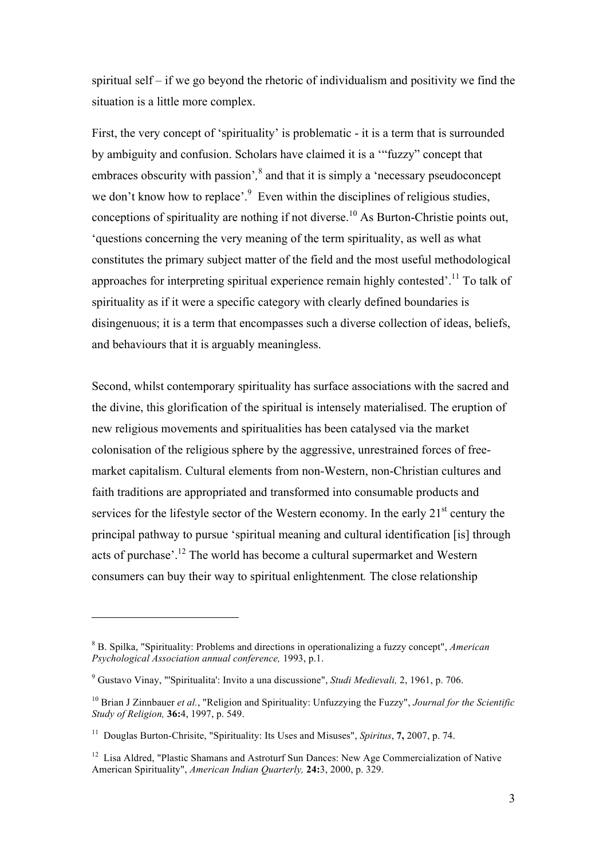spiritual self – if we go beyond the rhetoric of individualism and positivity we find the situation is a little more complex.

First, the very concept of 'spirituality' is problematic - it is a term that is surrounded by ambiguity and confusion. Scholars have claimed it is a '"fuzzy" concept that embraces obscurity with passion<sup>', 8</sup> and that it is simply a 'necessary pseudoconcept we don't know how to replace'. $9$  Even within the disciplines of religious studies, conceptions of spirituality are nothing if not diverse.<sup>10</sup> As Burton-Christie points out, 'questions concerning the very meaning of the term spirituality, as well as what constitutes the primary subject matter of the field and the most useful methodological approaches for interpreting spiritual experience remain highly contested'.<sup>11</sup> To talk of spirituality as if it were a specific category with clearly defined boundaries is disingenuous; it is a term that encompasses such a diverse collection of ideas, beliefs, and behaviours that it is arguably meaningless.

Second, whilst contemporary spirituality has surface associations with the sacred and the divine, this glorification of the spiritual is intensely materialised. The eruption of new religious movements and spiritualities has been catalysed via the market colonisation of the religious sphere by the aggressive, unrestrained forces of freemarket capitalism. Cultural elements from non-Western, non-Christian cultures and faith traditions are appropriated and transformed into consumable products and services for the lifestyle sector of the Western economy. In the early  $21<sup>st</sup>$  century the principal pathway to pursue 'spiritual meaning and cultural identification [is] through acts of purchase<sup>, 12</sup> The world has become a cultural supermarket and Western consumers can buy their way to spiritual enlightenment*.* The close relationship

<sup>8</sup> B. Spilka, "Spirituality: Problems and directions in operationalizing a fuzzy concept", *American Psychological Association annual conference,* 1993, p.1.

<sup>9</sup> Gustavo Vinay, "'Spiritualita': Invito a una discussione", *Studi Medievali,* 2, 1961, p. 706.

<sup>10</sup> Brian J Zinnbauer *et al.*, "Religion and Spirituality: Unfuzzying the Fuzzy", *Journal for the Scientific Study of Religion,* **36:**4, 1997, p. 549.

<sup>11</sup> Douglas Burton-Chrisite, "Spirituality: Its Uses and Misuses", *Spiritus*, **7,** 2007, p. 74.

<sup>&</sup>lt;sup>12</sup> Lisa Aldred, "Plastic Shamans and Astroturf Sun Dances: New Age Commercialization of Native American Spirituality", *American Indian Quarterly,* **24:**3, 2000, p. 329.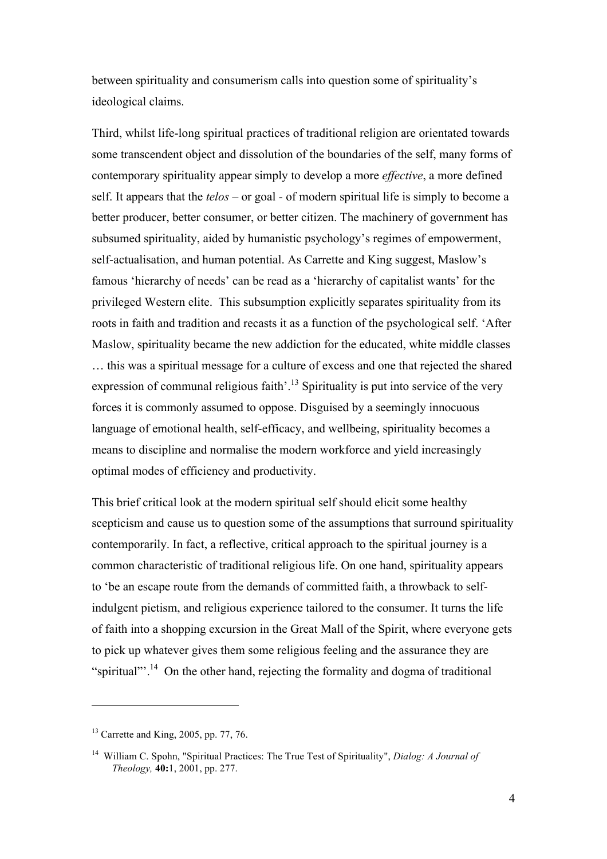between spirituality and consumerism calls into question some of spirituality's ideological claims.

Third, whilst life-long spiritual practices of traditional religion are orientated towards some transcendent object and dissolution of the boundaries of the self, many forms of contemporary spirituality appear simply to develop a more *effective*, a more defined self. It appears that the *telos* – or goal *-* of modern spiritual life is simply to become a better producer, better consumer, or better citizen. The machinery of government has subsumed spirituality, aided by humanistic psychology's regimes of empowerment, self-actualisation, and human potential. As Carrette and King suggest, Maslow's famous 'hierarchy of needs' can be read as a 'hierarchy of capitalist wants' for the privileged Western elite. This subsumption explicitly separates spirituality from its roots in faith and tradition and recasts it as a function of the psychological self. 'After Maslow, spirituality became the new addiction for the educated, white middle classes … this was a spiritual message for a culture of excess and one that rejected the shared expression of communal religious faith'.<sup>13</sup> Spirituality is put into service of the very forces it is commonly assumed to oppose. Disguised by a seemingly innocuous language of emotional health, self-efficacy, and wellbeing, spirituality becomes a means to discipline and normalise the modern workforce and yield increasingly optimal modes of efficiency and productivity.

This brief critical look at the modern spiritual self should elicit some healthy scepticism and cause us to question some of the assumptions that surround spirituality contemporarily. In fact, a reflective, critical approach to the spiritual journey is a common characteristic of traditional religious life. On one hand, spirituality appears to 'be an escape route from the demands of committed faith, a throwback to selfindulgent pietism, and religious experience tailored to the consumer. It turns the life of faith into a shopping excursion in the Great Mall of the Spirit, where everyone gets to pick up whatever gives them some religious feeling and the assurance they are "spiritual"<sup>14</sup>. On the other hand, rejecting the formality and dogma of traditional

 $13$  Carrette and King, 2005, pp. 77, 76.

<sup>14</sup> William C. Spohn, "Spiritual Practices: The True Test of Spirituality", *Dialog: A Journal of Theology,* **40:**1, 2001, pp. 277.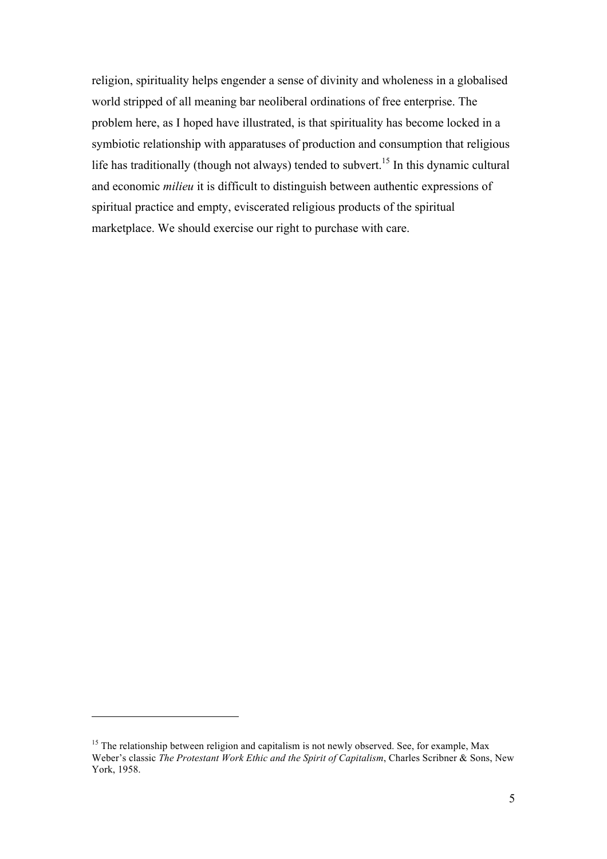religion, spirituality helps engender a sense of divinity and wholeness in a globalised world stripped of all meaning bar neoliberal ordinations of free enterprise. The problem here, as I hoped have illustrated, is that spirituality has become locked in a symbiotic relationship with apparatuses of production and consumption that religious life has traditionally (though not always) tended to subvert.<sup>15</sup> In this dynamic cultural and economic *milieu* it is difficult to distinguish between authentic expressions of spiritual practice and empty, eviscerated religious products of the spiritual marketplace. We should exercise our right to purchase with care.

<sup>&</sup>lt;sup>15</sup> The relationship between religion and capitalism is not newly observed. See, for example, Max Weber's classic *The Protestant Work Ethic and the Spirit of Capitalism*, Charles Scribner & Sons, New York, 1958.